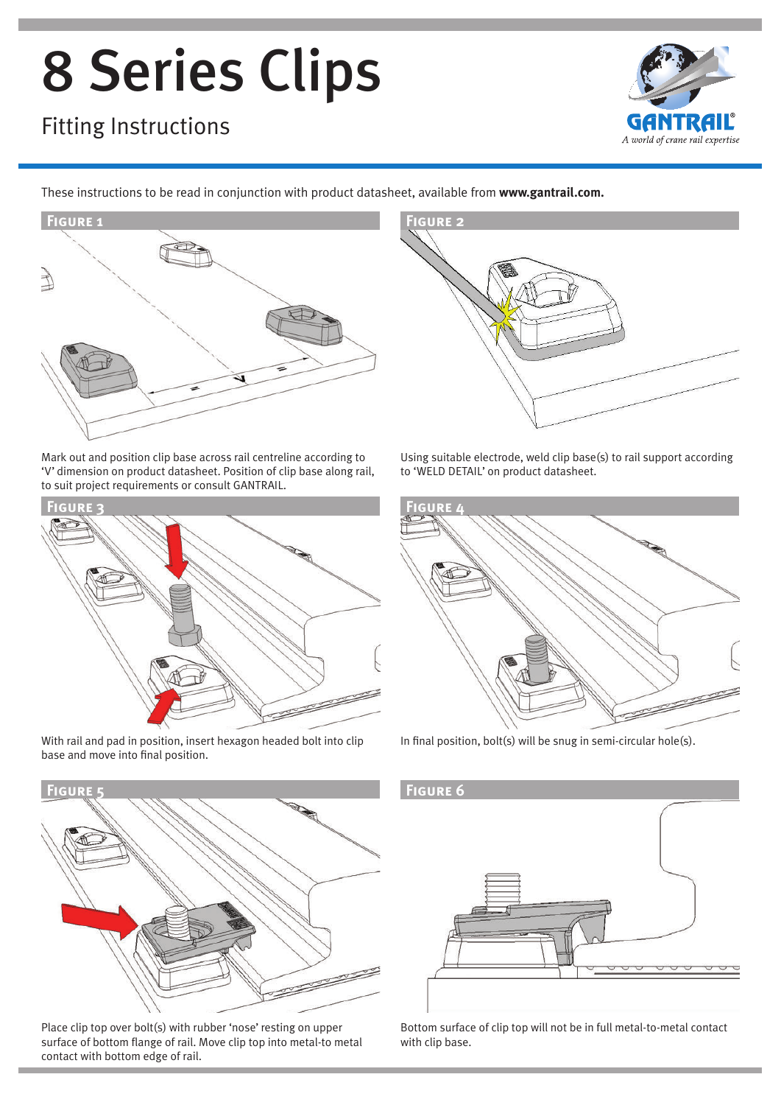# 8 Series Clips

### Fitting Instructions



These instructions to be read in conjunction with product datasheet, available from **www.gantrail.com.**



Mark out and position clip base across rail centreline according to 'V' dimension on product datasheet. Position of clip base along rail, to suit project requirements or consult GANTRAIL.



With rail and pad in position, insert hexagon headed bolt into clip base and move into final position.



Place clip top over bolt(s) with rubber 'nose' resting on upper surface of bottom flange of rail. Move clip top into metal-to metal contact with bottom edge of rail.



Using suitable electrode, weld clip base(s) to rail support according to 'WELD DETAIL' on product datasheet.



In final position, bolt(s) will be snug in semi-circular hole(s).



Bottom surface of clip top will not be in full metal-to-metal contact with clip base.